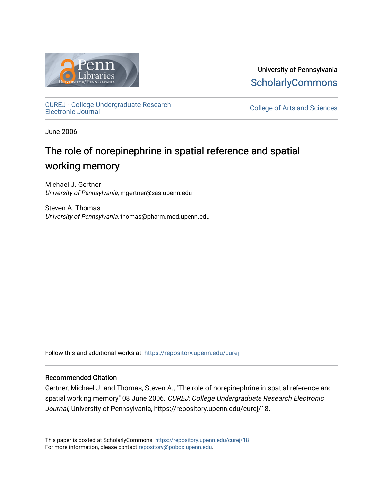

University of Pennsylvania **ScholarlyCommons** 

[CUREJ - College Undergraduate Research](https://repository.upenn.edu/curej) 

College of Arts and Sciences

June 2006

## The role of norepinephrine in spatial reference and spatial working memory

Michael J. Gertner University of Pennsylvania, mgertner@sas.upenn.edu

Steven A. Thomas University of Pennsylvania, thomas@pharm.med.upenn.edu

Follow this and additional works at: [https://repository.upenn.edu/curej](https://repository.upenn.edu/curej?utm_source=repository.upenn.edu%2Fcurej%2F18&utm_medium=PDF&utm_campaign=PDFCoverPages)

#### Recommended Citation

Gertner, Michael J. and Thomas, Steven A., "The role of norepinephrine in spatial reference and spatial working memory" 08 June 2006. CUREJ: College Undergraduate Research Electronic Journal, University of Pennsylvania, https://repository.upenn.edu/curej/18.

This paper is posted at ScholarlyCommons.<https://repository.upenn.edu/curej/18> For more information, please contact [repository@pobox.upenn.edu.](mailto:repository@pobox.upenn.edu)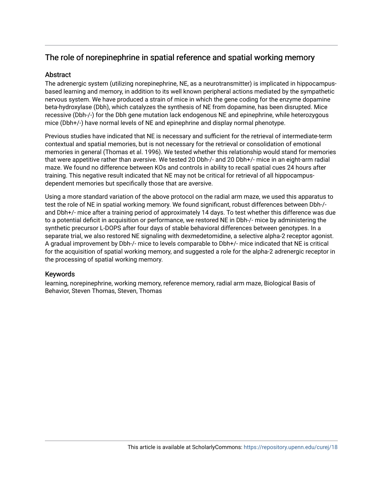### The role of norepinephrine in spatial reference and spatial working memory

#### **Abstract**

The adrenergic system (utilizing norepinephrine, NE, as a neurotransmitter) is implicated in hippocampusbased learning and memory, in addition to its well known peripheral actions mediated by the sympathetic nervous system. We have produced a strain of mice in which the gene coding for the enzyme dopamine beta-hydroxylase (Dbh), which catalyzes the synthesis of NE from dopamine, has been disrupted. Mice recessive (Dbh-/-) for the Dbh gene mutation lack endogenous NE and epinephrine, while heterozygous mice (Dbh+/-) have normal levels of NE and epinephrine and display normal phenotype.

Previous studies have indicated that NE is necessary and sufficient for the retrieval of intermediate-term contextual and spatial memories, but is not necessary for the retrieval or consolidation of emotional memories in general (Thomas et al. 1996). We tested whether this relationship would stand for memories that were appetitive rather than aversive. We tested 20 Dbh-/- and 20 Dbh+/- mice in an eight-arm radial maze. We found no difference between KOs and controls in ability to recall spatial cues 24 hours after training. This negative result indicated that NE may not be critical for retrieval of all hippocampusdependent memories but specifically those that are aversive.

Using a more standard variation of the above protocol on the radial arm maze, we used this apparatus to test the role of NE in spatial working memory. We found significant, robust differences between Dbh-/ and Dbh+/- mice after a training period of approximately 14 days. To test whether this difference was due to a potential deficit in acquisition or performance, we restored NE in Dbh-/- mice by administering the synthetic precursor L-DOPS after four days of stable behavioral differences between genotypes. In a separate trial, we also restored NE signaling with dexmedetomidine, a selective alpha-2 receptor agonist. A gradual improvement by Dbh-/- mice to levels comparable to Dbh+/- mice indicated that NE is critical for the acquisition of spatial working memory, and suggested a role for the alpha-2 adrenergic receptor in the processing of spatial working memory.

#### Keywords

learning, norepinephrine, working memory, reference memory, radial arm maze, Biological Basis of Behavior, Steven Thomas, Steven, Thomas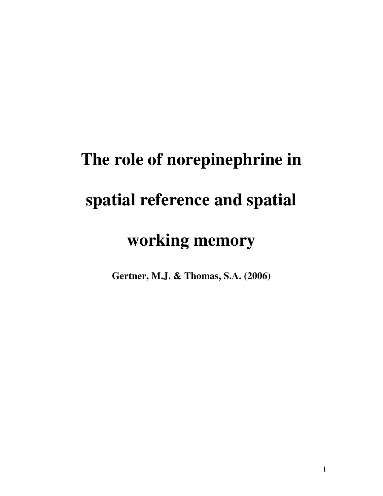# **The role of norepinephrine in spatial reference and spatial working memory**

**Gertner, M.J. & Thomas, S.A. (2006)**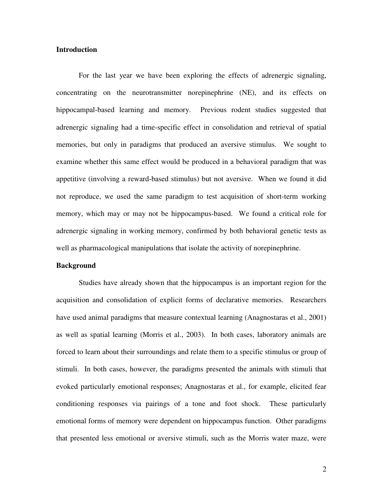#### **Introduction**

For the last year we have been exploring the effects of adrenergic signaling, concentrating on the neurotransmitter norepinephrine (NE), and its effects on hippocampal-based learning and memory. Previous rodent studies suggested that adrenergic signaling had a time-specific effect in consolidation and retrieval of spatial memories, but only in paradigms that produced an aversive stimulus. We sought to examine whether this same effect would be produced in a behavioral paradigm that was appetitive (involving a reward-based stimulus) but not aversive. When we found it did not reproduce, we used the same paradigm to test acquisition of short-term working memory, which may or may not be hippocampus-based. We found a critical role for adrenergic signaling in working memory, confirmed by both behavioral genetic tests as well as pharmacological manipulations that isolate the activity of norepinephrine.

#### **Background**

Studies have already shown that the hippocampus is an important region for the acquisition and consolidation of explicit forms of declarative memories. Researchers have used animal paradigms that measure contextual learning (Anagnostaras et al., 2001) as well as spatial learning (Morris et al., 2003). In both cases, laboratory animals are forced to learn about their surroundings and relate them to a specific stimulus or group of stimuli. In both cases, however, the paradigms presented the animals with stimuli that evoked particularly emotional responses; Anagnostaras et al., for example, elicited fear conditioning responses via pairings of a tone and foot shock. These particularly emotional forms of memory were dependent on hippocampus function. Other paradigms that presented less emotional or aversive stimuli, such as the Morris water maze, were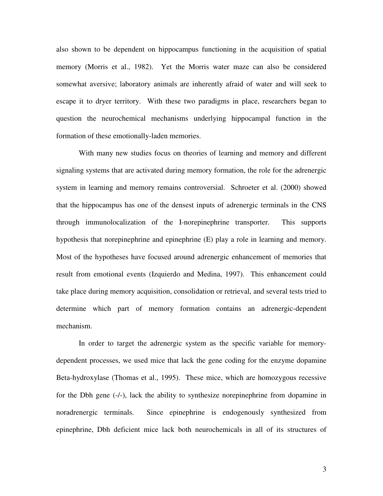also shown to be dependent on hippocampus functioning in the acquisition of spatial memory (Morris et al., 1982). Yet the Morris water maze can also be considered somewhat aversive; laboratory animals are inherently afraid of water and will seek to escape it to dryer territory. With these two paradigms in place, researchers began to question the neurochemical mechanisms underlying hippocampal function in the formation of these emotionally-laden memories.

With many new studies focus on theories of learning and memory and different signaling systems that are activated during memory formation, the role for the adrenergic system in learning and memory remains controversial. Schroeter et al. (2000) showed that the hippocampus has one of the densest inputs of adrenergic terminals in the CNS through immunolocalization of the I-norepinephrine transporter. This supports hypothesis that norepinephrine and epinephrine (E) play a role in learning and memory. Most of the hypotheses have focused around adrenergic enhancement of memories that result from emotional events (Izquierdo and Medina, 1997). This enhancement could take place during memory acquisition, consolidation or retrieval, and several tests tried to determine which part of memory formation contains an adrenergic-dependent mechanism.

In order to target the adrenergic system as the specific variable for memorydependent processes, we used mice that lack the gene coding for the enzyme dopamine Beta-hydroxylase (Thomas et al., 1995). These mice, which are homozygous recessive for the Dbh gene (-/-), lack the ability to synthesize norepinephrine from dopamine in noradrenergic terminals. Since epinephrine is endogenously synthesized from epinephrine, Dbh deficient mice lack both neurochemicals in all of its structures of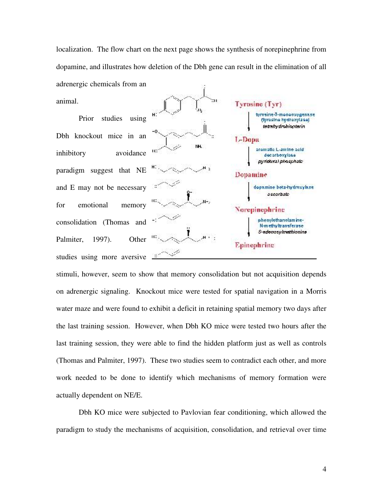localization. The flow chart on the next page shows the synthesis of norepinephrine from dopamine, and illustrates how deletion of the Dbh gene can result in the elimination of all adrenergic chemicals from an animal. 'an

Prior studies using Dbh knockout mice in an inhibitory avoidance paradigm suggest that NE and E may not be necessary for emotional memory consolidation (Thomas and Palmiter, 1997). Other studies using more aversive **Example** 



stimuli, however, seem to show that memory consolidation but not acquisition depends on adrenergic signaling. Knockout mice were tested for spatial navigation in a Morris water maze and were found to exhibit a deficit in retaining spatial memory two days after the last training session. However, when Dbh KO mice were tested two hours after the last training session, they were able to find the hidden platform just as well as controls (Thomas and Palmiter, 1997). These two studies seem to contradict each other, and more work needed to be done to identify which mechanisms of memory formation were actually dependent on NE/E.

Dbh KO mice were subjected to Pavlovian fear conditioning, which allowed the paradigm to study the mechanisms of acquisition, consolidation, and retrieval over time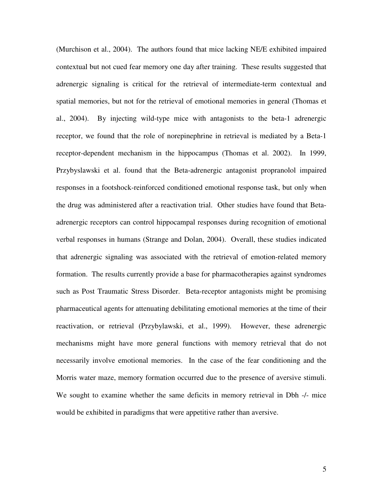(Murchison et al., 2004). The authors found that mice lacking NE/E exhibited impaired contextual but not cued fear memory one day after training. These results suggested that adrenergic signaling is critical for the retrieval of intermediate-term contextual and spatial memories, but not for the retrieval of emotional memories in general (Thomas et al., 2004). By injecting wild-type mice with antagonists to the beta-1 adrenergic receptor, we found that the role of norepinephrine in retrieval is mediated by a Beta-1 receptor-dependent mechanism in the hippocampus (Thomas et al. 2002). In 1999, Przybyslawski et al. found that the Beta-adrenergic antagonist propranolol impaired responses in a footshock-reinforced conditioned emotional response task, but only when the drug was administered after a reactivation trial. Other studies have found that Betaadrenergic receptors can control hippocampal responses during recognition of emotional verbal responses in humans (Strange and Dolan, 2004). Overall, these studies indicated that adrenergic signaling was associated with the retrieval of emotion-related memory formation. The results currently provide a base for pharmacotherapies against syndromes such as Post Traumatic Stress Disorder. Beta-receptor antagonists might be promising pharmaceutical agents for attenuating debilitating emotional memories at the time of their reactivation, or retrieval (Przybylawski, et al., 1999). However, these adrenergic mechanisms might have more general functions with memory retrieval that do not necessarily involve emotional memories. In the case of the fear conditioning and the Morris water maze, memory formation occurred due to the presence of aversive stimuli. We sought to examine whether the same deficits in memory retrieval in Dbh -/- mice would be exhibited in paradigms that were appetitive rather than aversive.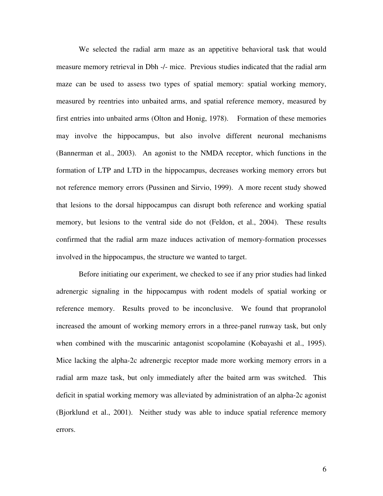We selected the radial arm maze as an appetitive behavioral task that would measure memory retrieval in Dbh -/- mice. Previous studies indicated that the radial arm maze can be used to assess two types of spatial memory: spatial working memory, measured by reentries into unbaited arms, and spatial reference memory, measured by first entries into unbaited arms (Olton and Honig, 1978). Formation of these memories may involve the hippocampus, but also involve different neuronal mechanisms (Bannerman et al., 2003). An agonist to the NMDA receptor, which functions in the formation of LTP and LTD in the hippocampus, decreases working memory errors but not reference memory errors (Pussinen and Sirvio, 1999). A more recent study showed that lesions to the dorsal hippocampus can disrupt both reference and working spatial memory, but lesions to the ventral side do not (Feldon, et al., 2004). These results confirmed that the radial arm maze induces activation of memory-formation processes involved in the hippocampus, the structure we wanted to target.

Before initiating our experiment, we checked to see if any prior studies had linked adrenergic signaling in the hippocampus with rodent models of spatial working or reference memory. Results proved to be inconclusive. We found that propranolol increased the amount of working memory errors in a three-panel runway task, but only when combined with the muscarinic antagonist scopolamine (Kobayashi et al., 1995). Mice lacking the alpha-2c adrenergic receptor made more working memory errors in a radial arm maze task, but only immediately after the baited arm was switched. This deficit in spatial working memory was alleviated by administration of an alpha-2c agonist (Bjorklund et al., 2001). Neither study was able to induce spatial reference memory errors.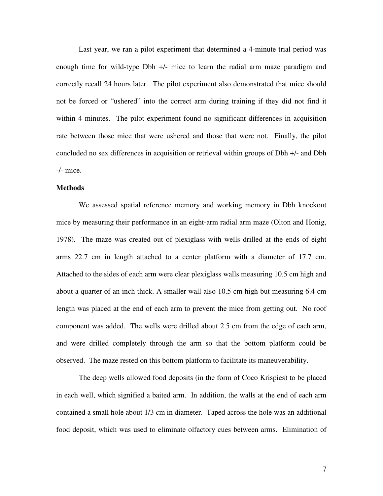Last year, we ran a pilot experiment that determined a 4-minute trial period was enough time for wild-type Dbh +/- mice to learn the radial arm maze paradigm and correctly recall 24 hours later. The pilot experiment also demonstrated that mice should not be forced or "ushered" into the correct arm during training if they did not find it within 4 minutes. The pilot experiment found no significant differences in acquisition rate between those mice that were ushered and those that were not. Finally, the pilot concluded no sex differences in acquisition or retrieval within groups of Dbh +/- and Dbh -/- mice.

#### **Methods**

We assessed spatial reference memory and working memory in Dbh knockout mice by measuring their performance in an eight-arm radial arm maze (Olton and Honig, 1978). The maze was created out of plexiglass with wells drilled at the ends of eight arms 22.7 cm in length attached to a center platform with a diameter of 17.7 cm. Attached to the sides of each arm were clear plexiglass walls measuring 10.5 cm high and about a quarter of an inch thick. A smaller wall also 10.5 cm high but measuring 6.4 cm length was placed at the end of each arm to prevent the mice from getting out. No roof component was added. The wells were drilled about 2.5 cm from the edge of each arm, and were drilled completely through the arm so that the bottom platform could be observed. The maze rested on this bottom platform to facilitate its maneuverability.

The deep wells allowed food deposits (in the form of Coco Krispies) to be placed in each well, which signified a baited arm. In addition, the walls at the end of each arm contained a small hole about 1/3 cm in diameter. Taped across the hole was an additional food deposit, which was used to eliminate olfactory cues between arms. Elimination of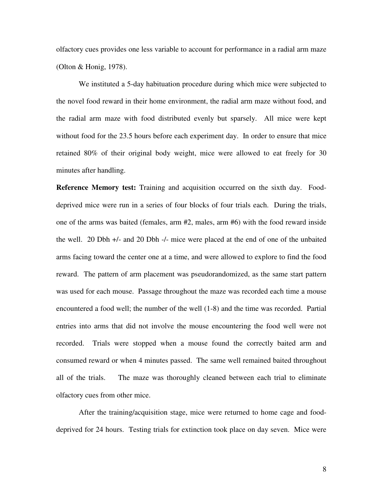olfactory cues provides one less variable to account for performance in a radial arm maze (Olton & Honig, 1978).

We instituted a 5-day habituation procedure during which mice were subjected to the novel food reward in their home environment, the radial arm maze without food, and the radial arm maze with food distributed evenly but sparsely. All mice were kept without food for the 23.5 hours before each experiment day. In order to ensure that mice retained 80% of their original body weight, mice were allowed to eat freely for 30 minutes after handling.

**Reference Memory test:** Training and acquisition occurred on the sixth day. Fooddeprived mice were run in a series of four blocks of four trials each. During the trials, one of the arms was baited (females, arm #2, males, arm #6) with the food reward inside the well. 20 Dbh +/- and 20 Dbh -/- mice were placed at the end of one of the unbaited arms facing toward the center one at a time, and were allowed to explore to find the food reward. The pattern of arm placement was pseudorandomized, as the same start pattern was used for each mouse. Passage throughout the maze was recorded each time a mouse encountered a food well; the number of the well (1-8) and the time was recorded. Partial entries into arms that did not involve the mouse encountering the food well were not recorded. Trials were stopped when a mouse found the correctly baited arm and consumed reward or when 4 minutes passed. The same well remained baited throughout all of the trials. The maze was thoroughly cleaned between each trial to eliminate olfactory cues from other mice.

After the training/acquisition stage, mice were returned to home cage and fooddeprived for 24 hours. Testing trials for extinction took place on day seven. Mice were

8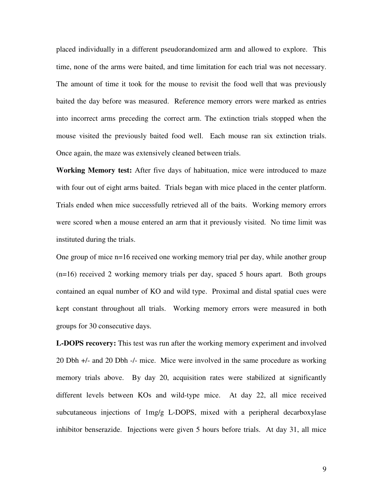placed individually in a different pseudorandomized arm and allowed to explore. This time, none of the arms were baited, and time limitation for each trial was not necessary. The amount of time it took for the mouse to revisit the food well that was previously baited the day before was measured. Reference memory errors were marked as entries into incorrect arms preceding the correct arm. The extinction trials stopped when the mouse visited the previously baited food well. Each mouse ran six extinction trials. Once again, the maze was extensively cleaned between trials.

**Working Memory test:** After five days of habituation, mice were introduced to maze with four out of eight arms baited. Trials began with mice placed in the center platform. Trials ended when mice successfully retrieved all of the baits. Working memory errors were scored when a mouse entered an arm that it previously visited. No time limit was instituted during the trials.

One group of mice n=16 received one working memory trial per day, while another group (n=16) received 2 working memory trials per day, spaced 5 hours apart. Both groups contained an equal number of KO and wild type. Proximal and distal spatial cues were kept constant throughout all trials. Working memory errors were measured in both groups for 30 consecutive days.

**L-DOPS recovery:** This test was run after the working memory experiment and involved 20 Dbh +/- and 20 Dbh -/- mice. Mice were involved in the same procedure as working memory trials above. By day 20, acquisition rates were stabilized at significantly different levels between KOs and wild-type mice. At day 22, all mice received subcutaneous injections of 1mg/g L-DOPS, mixed with a peripheral decarboxylase inhibitor benserazide. Injections were given 5 hours before trials. At day 31, all mice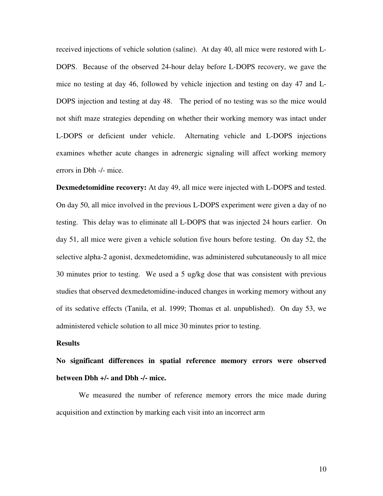received injections of vehicle solution (saline). At day 40, all mice were restored with L-DOPS. Because of the observed 24-hour delay before L-DOPS recovery, we gave the mice no testing at day 46, followed by vehicle injection and testing on day 47 and L-DOPS injection and testing at day 48. The period of no testing was so the mice would not shift maze strategies depending on whether their working memory was intact under L-DOPS or deficient under vehicle. Alternating vehicle and L-DOPS injections examines whether acute changes in adrenergic signaling will affect working memory errors in Dbh -/- mice.

**Dexmedetomidine recovery:** At day 49, all mice were injected with L-DOPS and tested. On day 50, all mice involved in the previous L-DOPS experiment were given a day of no testing. This delay was to eliminate all L-DOPS that was injected 24 hours earlier. On day 51, all mice were given a vehicle solution five hours before testing. On day 52, the selective alpha-2 agonist, dexmedetomidine, was administered subcutaneously to all mice 30 minutes prior to testing. We used a 5 ug/kg dose that was consistent with previous studies that observed dexmedetomidine-induced changes in working memory without any of its sedative effects (Tanila, et al. 1999; Thomas et al. unpublished). On day 53, we administered vehicle solution to all mice 30 minutes prior to testing.

#### **Results**

**No significant differences in spatial reference memory errors were observed between Dbh +/- and Dbh -/- mice.** 

We measured the number of reference memory errors the mice made during acquisition and extinction by marking each visit into an incorrect arm

10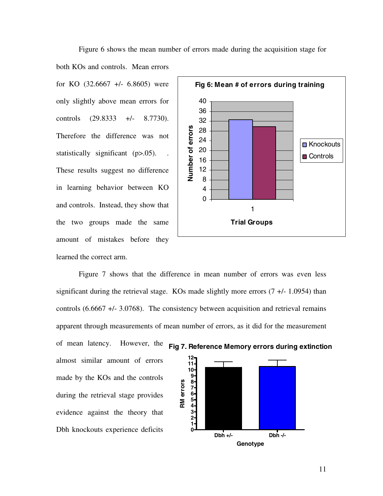both KOs and controls. Mean errors for KO  $(32.6667 +/- 6.8605)$  were only slightly above mean errors for controls  $(29.8333 +1) - (29.8333)$ Therefore the difference was not statistically significant (p>.05). These results suggest no difference in learning behavior between KO and controls. Instead, they show that the two groups made the same amount of mistakes before they learned the correct arm.



Figure 7 shows that the difference in mean number of errors was even less significant during the retrieval stage. KOs made slightly more errors  $(7 +1.0954)$  than controls (6.6667 +/- 3.0768). The consistency between acquisition and retrieval remains apparent through measurements of mean number of errors, as it did for the measurement

almost similar amount of errors made by the KOs and the controls during the retrieval stage provides evidence against the theory that Dbh knockouts experience deficits

of mean latency. However, the





Figure 6 shows the mean number of errors made during the acquisition stage for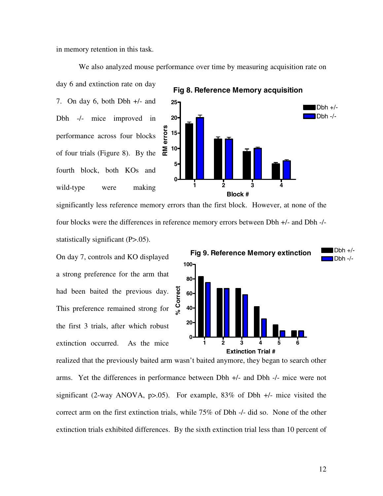in memory retention in this task.

We also analyzed mouse performance over time by measuring acquisition rate on

day 6 and extinction rate on day 7. On day 6, both Dbh +/- and Dbh -/- mice improved in performance across four blocks of four trials (Figure 8). By the fourth block, both KOs and wild-type were making



significantly less reference memory errors than the first block. However, at none of the four blocks were the differences in reference memory errors between Dbh +/- and Dbh -/ statistically significant (P>.05).

On day 7, controls and KO displayed a strong preference for the arm that had been baited the previous day. This preference remained strong for the first 3 trials, after which robust extinction occurred. As the mice



realized that the previously baited arm wasn't baited anymore, they began to search other arms. Yet the differences in performance between Dbh +/- and Dbh -/- mice were not significant (2-way ANOVA,  $p>0.05$ ). For example, 83% of Dbh  $+/-$  mice visited the correct arm on the first extinction trials, while 75% of Dbh -/- did so. None of the other extinction trials exhibited differences. By the sixth extinction trial less than 10 percent of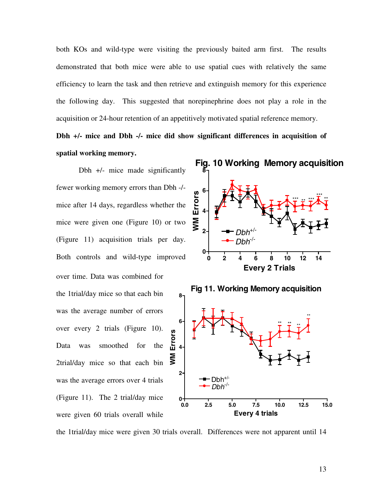both KOs and wild-type were visiting the previously baited arm first. The results demonstrated that both mice were able to use spatial cues with relatively the same efficiency to learn the task and then retrieve and extinguish memory for this experience the following day. This suggested that norepinephrine does not play a role in the acquisition or 24-hour retention of an appetitively motivated spatial reference memory.

**Dbh +/- mice and Dbh -/- mice did show significant differences in acquisition of spatial working memory.**

Dbh +/- mice made significantly fewer working memory errors than Dbh -/ mice after 14 days, regardless whether the mice were given one (Figure 10) or two (Figure 11) acquisition trials per day. Both controls and wild-type improved over time. Data was combined for the 1trial/day mice so that each bin was the average number of errors **6** over every 2 trials (Figure 10). WM Errors **WM Errors**Data was smoothed for the **4** 2trial/day mice so that each bin was the average errors over 4 trials (Figure 11). The 2 trial/day mice were given 60 trials overall while



the 1trial/day mice were given 30 trials overall. Differences were not apparent until 14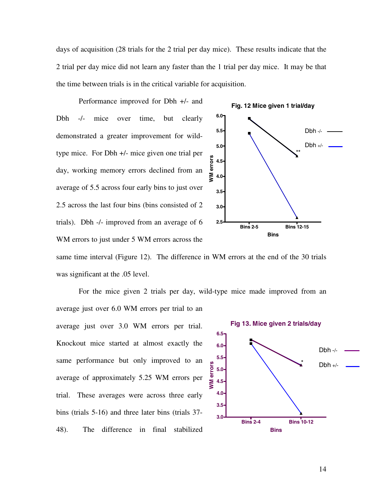days of acquisition (28 trials for the 2 trial per day mice). These results indicate that the 2 trial per day mice did not learn any faster than the 1 trial per day mice. It may be that the time between trials is in the critical variable for acquisition.

Performance improved for Dbh +/- and Dbh -/- mice over time, but clearly demonstrated a greater improvement for wildtype mice. For Dbh +/- mice given one trial per day, working memory errors declined from an average of 5.5 across four early bins to just over 2.5 across the last four bins (bins consisted of 2 trials). Dbh -/- improved from an average of 6 WM errors to just under 5 WM errors across the



same time interval (Figure 12). The difference in WM errors at the end of the 30 trials was significant at the .05 level.

average just over 6.0 WM errors per trial to an **Fig 13. Mice given 2 trials/day** average just over 3.0 WM errors per trial. **6.5** Knockout mice started at almost exactly the **6.0** Dbh -/- **5.5** same performance but only improved to an \* **VM** errors **WM errors** $Dbh +/-$ **5.0** average of approximately 5.25 WM errors per **4.5 4.0** trial. These averages were across three early **3.5** bins (trials 5-16) and three later bins (trials 37- **3.0 Bins 2-4 Bins 10-12** 48). The difference in final stabilized **Bins**

For the mice given 2 trials per day, wild-type mice made improved from an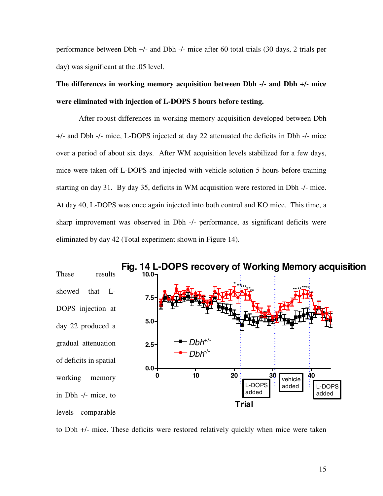performance between Dbh +/- and Dbh -/- mice after 60 total trials (30 days, 2 trials per day) was significant at the .05 level.

## **The differences in working memory acquisition between Dbh -/- and Dbh +/- mice were eliminated with injection of L-DOPS 5 hours before testing.**

After robust differences in working memory acquisition developed between Dbh +/- and Dbh -/- mice, L-DOPS injected at day 22 attenuated the deficits in Dbh -/- mice over a period of about six days. After WM acquisition levels stabilized for a few days, mice were taken off L-DOPS and injected with vehicle solution 5 hours before training starting on day 31. By day 35, deficits in WM acquisition were restored in Dbh -/- mice. At day 40, L-DOPS was once again injected into both control and KO mice. This time, a sharp improvement was observed in Dbh -/- performance, as significant deficits were eliminated by day 42 (Total experiment shown in Figure 14).



to Dbh +/- mice. These deficits were restored relatively quickly when mice were taken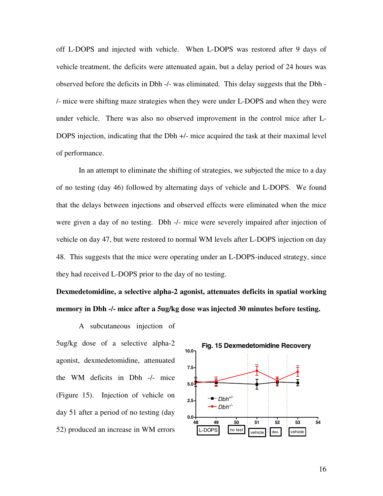off L-DOPS and injected with vehicle. When L-DOPS was restored after 9 days of vehicle treatment, the deficits were attenuated again, but a delay period of 24 hours was observed before the deficits in Dbh -/- was eliminated. This delay suggests that the Dbh - /- mice were shifting maze strategies when they were under L-DOPS and when they were under vehicle. There was also no observed improvement in the control mice after L-DOPS injection, indicating that the Dbh +/- mice acquired the task at their maximal level of performance.

In an attempt to eliminate the shifting of strategies, we subjected the mice to a day of no testing (day 46) followed by alternating days of vehicle and L-DOPS. We found that the delays between injections and observed effects were eliminated when the mice were given a day of no testing. Dbh -/- mice were severely impaired after injection of vehicle on day 47, but were restored to normal WM levels after L-DOPS injection on day 48. This suggests that the mice were operating under an L-DOPS-induced strategy, since they had received L-DOPS prior to the day of no testing.

**Dexmedetomidine, a selective alpha-2 agonist, attenuates deficits in spatial working memory in Dbh -/- mice after a 5ug/kg dose was injected 30 minutes before testing.**

A subcutaneous injection of 5ug/kg dose of a selective alpha-2 agonist, dexmedetomidine, attenuated the WM deficits in Dbh -/- mice (Figure 15). Injection of vehicle on day 51 after a period of no testing (day 52) produced an increase in WM errors

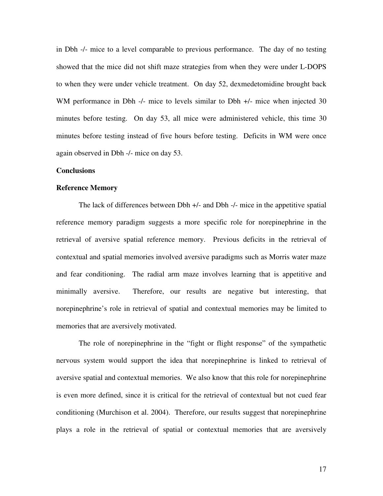in Dbh -/- mice to a level comparable to previous performance. The day of no testing showed that the mice did not shift maze strategies from when they were under L-DOPS to when they were under vehicle treatment. On day 52, dexmedetomidine brought back WM performance in Dbh -/- mice to levels similar to Dbh +/- mice when injected 30 minutes before testing. On day 53, all mice were administered vehicle, this time 30 minutes before testing instead of five hours before testing. Deficits in WM were once again observed in Dbh -/- mice on day 53.

#### **Conclusions**

#### **Reference Memory**

The lack of differences between Dbh +/- and Dbh -/- mice in the appetitive spatial reference memory paradigm suggests a more specific role for norepinephrine in the retrieval of aversive spatial reference memory. Previous deficits in the retrieval of contextual and spatial memories involved aversive paradigms such as Morris water maze and fear conditioning. The radial arm maze involves learning that is appetitive and minimally aversive. Therefore, our results are negative but interesting, that norepinephrine's role in retrieval of spatial and contextual memories may be limited to memories that are aversively motivated.

The role of norepinephrine in the "fight or flight response" of the sympathetic nervous system would support the idea that norepinephrine is linked to retrieval of aversive spatial and contextual memories. We also know that this role for norepinephrine is even more defined, since it is critical for the retrieval of contextual but not cued fear conditioning (Murchison et al. 2004). Therefore, our results suggest that norepinephrine plays a role in the retrieval of spatial or contextual memories that are aversively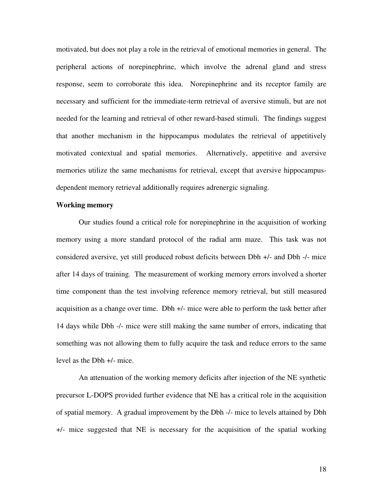motivated, but does not play a role in the retrieval of emotional memories in general. The peripheral actions of norepinephrine, which involve the adrenal gland and stress response, seem to corroborate this idea. Norepinephrine and its receptor family are necessary and sufficient for the immediate-term retrieval of aversive stimuli, but are not needed for the learning and retrieval of other reward-based stimuli. The findings suggest that another mechanism in the hippocampus modulates the retrieval of appetitively motivated contextual and spatial memories. Alternatively, appetitive and aversive memories utilize the same mechanisms for retrieval, except that aversive hippocampusdependent memory retrieval additionally requires adrenergic signaling.

#### **Working memory**

Our studies found a critical role for norepinephrine in the acquisition of working memory using a more standard protocol of the radial arm maze. This task was not considered aversive, yet still produced robust deficits between Dbh +/- and Dbh -/- mice after 14 days of training. The measurement of working memory errors involved a shorter time component than the test involving reference memory retrieval, but still measured acquisition as a change over time. Dbh +/- mice were able to perform the task better after 14 days while Dbh -/- mice were still making the same number of errors, indicating that something was not allowing them to fully acquire the task and reduce errors to the same level as the Dbh +/- mice.

An attenuation of the working memory deficits after injection of the NE synthetic precursor L-DOPS provided further evidence that NE has a critical role in the acquisition of spatial memory. A gradual improvement by the Dbh -/- mice to levels attained by Dbh +/- mice suggested that NE is necessary for the acquisition of the spatial working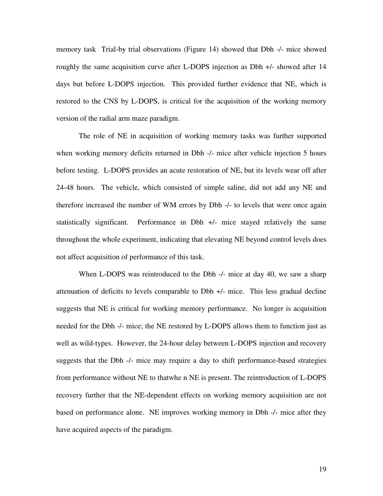memory task Trial-by trial observations (Figure 14) showed that Dbh -/- mice showed roughly the same acquisition curve after L-DOPS injection as Dbh +/- showed after 14 days but before L-DOPS injection. This provided further evidence that NE, which is restored to the CNS by L-DOPS, is critical for the acquisition of the working memory version of the radial arm maze paradigm.

The role of NE in acquisition of working memory tasks was further supported when working memory deficits returned in Dbh -/- mice after vehicle injection 5 hours before testing. L-DOPS provides an acute restoration of NE, but its levels wear off after 24-48 hours. The vehicle, which consisted of simple saline, did not add any NE and therefore increased the number of WM errors by Dbh -/- to levels that were once again statistically significant. Performance in Dbh +/- mice stayed relatively the same throughout the whole experiment, indicating that elevating NE beyond control levels does not affect acquisition of performance of this task.

When L-DOPS was reintroduced to the Dbh -/- mice at day 40, we saw a sharp attenuation of deficits to levels comparable to Dbh +/- mice. This less gradual decline suggests that NE is critical for working memory performance. No longer is acquisition needed for the Dbh -/- mice; the NE restored by L-DOPS allows them to function just as well as wild-types. However, the 24-hour delay between L-DOPS injection and recovery suggests that the Dbh -/- mice may require a day to shift performance-based strategies from performance without NE to that when NE is present. The reintroduction of L-DOPS recovery further that the NE-dependent effects on working memory acquisition are not based on performance alone. NE improves working memory in Dbh -/- mice after they have acquired aspects of the paradigm.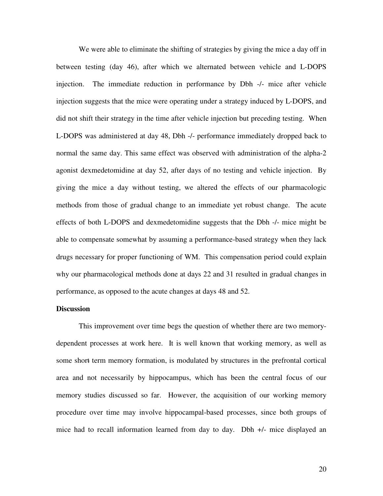We were able to eliminate the shifting of strategies by giving the mice a day off in between testing (day 46), after which we alternated between vehicle and L-DOPS injection. The immediate reduction in performance by Dbh -/- mice after vehicle injection suggests that the mice were operating under a strategy induced by L-DOPS, and did not shift their strategy in the time after vehicle injection but preceding testing. When L-DOPS was administered at day 48, Dbh -/- performance immediately dropped back to normal the same day. This same effect was observed with administration of the alpha-2 agonist dexmedetomidine at day 52, after days of no testing and vehicle injection. By giving the mice a day without testing, we altered the effects of our pharmacologic methods from those of gradual change to an immediate yet robust change. The acute effects of both L-DOPS and dexmedetomidine suggests that the Dbh -/- mice might be able to compensate somewhat by assuming a performance-based strategy when they lack drugs necessary for proper functioning of WM. This compensation period could explain why our pharmacological methods done at days 22 and 31 resulted in gradual changes in performance, as opposed to the acute changes at days 48 and 52.

#### **Discussion**

This improvement over time begs the question of whether there are two memorydependent processes at work here. It is well known that working memory, as well as some short term memory formation, is modulated by structures in the prefrontal cortical area and not necessarily by hippocampus, which has been the central focus of our memory studies discussed so far. However, the acquisition of our working memory procedure over time may involve hippocampal-based processes, since both groups of mice had to recall information learned from day to day. Dbh +/- mice displayed an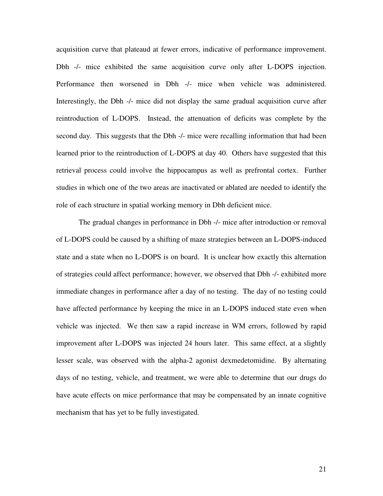acquisition curve that plateaud at fewer errors, indicative of performance improvement. Dbh -/- mice exhibited the same acquisition curve only after L-DOPS injection. Performance then worsened in Dbh -/- mice when vehicle was administered. Interestingly, the Dbh -/- mice did not display the same gradual acquisition curve after reintroduction of L-DOPS. Instead, the attenuation of deficits was complete by the second day. This suggests that the Dbh -/- mice were recalling information that had been learned prior to the reintroduction of L-DOPS at day 40. Others have suggested that this retrieval process could involve the hippocampus as well as prefrontal cortex. Further studies in which one of the two areas are inactivated or ablated are needed to identify the role of each structure in spatial working memory in Dbh deficient mice.

The gradual changes in performance in Dbh -/- mice after introduction or removal of L-DOPS could be caused by a shifting of maze strategies between an L-DOPS-induced state and a state when no L-DOPS is on board. It is unclear how exactly this alternation of strategies could affect performance; however, we observed that Dbh -/- exhibited more immediate changes in performance after a day of no testing. The day of no testing could have affected performance by keeping the mice in an L-DOPS induced state even when vehicle was injected. We then saw a rapid increase in WM errors, followed by rapid improvement after L-DOPS was injected 24 hours later. This same effect, at a slightly lesser scale, was observed with the alpha-2 agonist dexmedetomidine. By alternating days of no testing, vehicle, and treatment, we were able to determine that our drugs do have acute effects on mice performance that may be compensated by an innate cognitive mechanism that has yet to be fully investigated.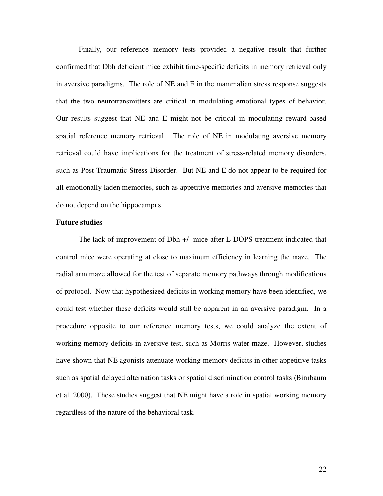Finally, our reference memory tests provided a negative result that further confirmed that Dbh deficient mice exhibit time-specific deficits in memory retrieval only in aversive paradigms. The role of NE and E in the mammalian stress response suggests that the two neurotransmitters are critical in modulating emotional types of behavior. Our results suggest that NE and E might not be critical in modulating reward-based spatial reference memory retrieval. The role of NE in modulating aversive memory retrieval could have implications for the treatment of stress-related memory disorders, such as Post Traumatic Stress Disorder. But NE and E do not appear to be required for all emotionally laden memories, such as appetitive memories and aversive memories that do not depend on the hippocampus.

#### **Future studies**

The lack of improvement of Dbh +/- mice after L-DOPS treatment indicated that control mice were operating at close to maximum efficiency in learning the maze. The radial arm maze allowed for the test of separate memory pathways through modifications of protocol. Now that hypothesized deficits in working memory have been identified, we could test whether these deficits would still be apparent in an aversive paradigm. In a procedure opposite to our reference memory tests, we could analyze the extent of working memory deficits in aversive test, such as Morris water maze. However, studies have shown that NE agonists attenuate working memory deficits in other appetitive tasks such as spatial delayed alternation tasks or spatial discrimination control tasks (Birnbaum et al. 2000). These studies suggest that NE might have a role in spatial working memory regardless of the nature of the behavioral task.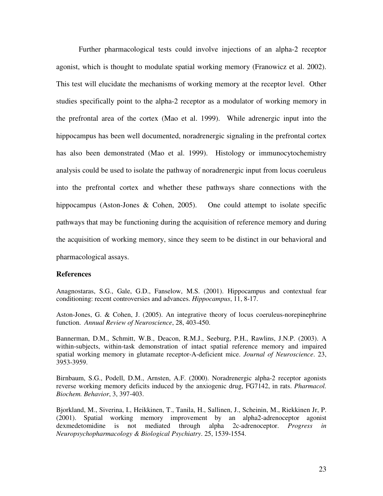Further pharmacological tests could involve injections of an alpha-2 receptor agonist, which is thought to modulate spatial working memory (Franowicz et al. 2002). This test will elucidate the mechanisms of working memory at the receptor level. Other studies specifically point to the alpha-2 receptor as a modulator of working memory in the prefrontal area of the cortex (Mao et al. 1999). While adrenergic input into the hippocampus has been well documented, noradrenergic signaling in the prefrontal cortex has also been demonstrated (Mao et al. 1999). Histology or immunocytochemistry analysis could be used to isolate the pathway of noradrenergic input from locus coeruleus into the prefrontal cortex and whether these pathways share connections with the hippocampus (Aston-Jones & Cohen, 2005). One could attempt to isolate specific pathways that may be functioning during the acquisition of reference memory and during the acquisition of working memory, since they seem to be distinct in our behavioral and pharmacological assays.

#### **References**

Anagnostaras, S.G., Gale, G.D., Fanselow, M.S. (2001). Hippocampus and contextual fear conditioning: recent controversies and advances. *Hippocampus*, 11, 8-17.

Aston-Jones, G. & Cohen, J. (2005). An integrative theory of locus coeruleus-norepinephrine function. *Annual Review of Neuroscience*, 28, 403-450.

Bannerman, D.M., Schmitt, W.B., Deacon, R.M.J., Seeburg, P.H., Rawlins, J.N.P. (2003). A within-subjects, within-task demonstration of intact spatial reference memory and impaired spatial working memory in glutamate receptor-A-deficient mice. *Journal of Neuroscience*. 23, 3953-3959.

Birnbaum, S.G., Podell, D.M., Arnsten, A.F. (2000). Noradrenergic alpha-2 receptor agonists reverse working memory deficits induced by the anxiogenic drug, FG7142, in rats. *Pharmacol. Biochem. Behavior*, 3, 397-403.

Bjorkland, M., Siverina, I., Heikkinen, T., Tanila, H., Sallinen, J., Scheinin, M., Riekkinen Jr, P. (2001). Spatial working memory improvement by an alpha2-adrenoceptor agonist dexmedetomidine is not mediated through alpha 2c-adrenoceptor. *Progress in Neuropsychopharmacology & Biological Psychiatry*. 25, 1539-1554.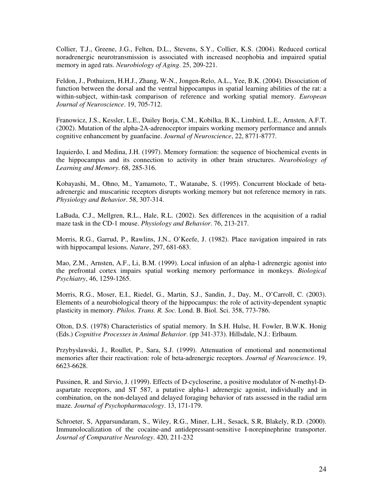Collier, T.J., Greene, J.G., Felten, D.L., Stevens, S.Y., Collier, K.S. (2004). Reduced cortical noradrenergic neurotransmission is associated with increased neophobia and impaired spatial memory in aged rats. *Neurobiology of Aging*. 25, 209-221.

Feldon, J., Pothuizen, H.H.J., Zhang, W-N., Jongen-Relo, A.L., Yee, B.K. (2004). Dissociation of function between the dorsal and the ventral hippocampus in spatial learning abilities of the rat: a within-subject, within-task comparison of reference and working spatial memory. *European Journal of Neuroscience*. 19, 705-712.

Franowicz, J.S., Kessler, L.E., Dailey Borja, C.M., Kobilka, B.K., Limbird, L.E., Arnsten, A.F.T. (2002). Mutation of the alpha-2A-adrenoceptor impairs working memory performance and annuls cognitive enhancement by guanfacine. *Journal of Neuroscience*, 22, 8771-8777.

Izquierdo, I. and Medina, J.H. (1997). Memory formation: the sequence of biochemical events in the hippocampus and its connection to activity in other brain structures. *Neurobiology of Learning and Memory*. 68, 285-316.

Kobayashi, M., Ohno, M., Yamamoto, T., Watanabe, S. (1995). Concurrent blockade of betaadrenergic and muscarinic receptors disrupts working memory but not reference memory in rats. *Physiology and Behavior*. 58, 307-314.

LaBuda, C.J., Mellgren, R.L., Hale, R.L. (2002). Sex differences in the acquisition of a radial maze task in the CD-1 mouse. *Physiology and Behavior*. 76, 213-217.

Morris, R.G., Garrud, P., Rawlins, J.N., O'Keefe, J. (1982). Place navigation impaired in rats with hippocampal lesions. *Nature*, 297, 681-683.

Mao, Z.M., Arnsten, A.F., Li, B.M. (1999). Local infusion of an alpha-1 adrenergic agonist into the prefrontal cortex impairs spatial working memory performance in monkeys. *Biological Psychiatry*, 46, 1259-1265.

Morris, R.G., Moser, E.I., Riedel, G., Martin, S.J., Sandin, J., Day, M., O'Carroll, C. (2003). Elements of a neurobiological theory of the hippocampus: the role of activity-dependent synaptic plasticity in memory. *Philos. Trans. R. Soc.* Lond. B. Biol. Sci. 358, 773-786.

Olton, D.S. (1978) Characteristics of spatial memory. In S.H. Hulse, H. Fowler, B.W.K. Honig (Eds.) *Cognitive Processes in Animal Behavior*. (pp 341-373). Hillsdale, N.J.: Erlbaum.

Przybyslawski, J., Roullet, P., Sara, S.J. (1999). Attenuation of emotional and nonemotional memories after their reactivation: role of beta-adrenergic receptors. *Journal of Neuroscience*. 19, 6623-6628.

Pussinen, R. and Sirvio, J. (1999). Effects of D-cycloserine, a positive modulator of N-methyl-Daspartate receptors, and ST 587, a putative alpha-1 adrenergic agonist, individually and in combination, on the non-delayed and delayed foraging behavior of rats assessed in the radial arm maze. *Journal of Psychopharmacology*. 13, 171-179.

Schroeter, S, Apparsundaram, S., Wiley, R.G., Miner, L.H., Sesack, S.R, Blakely, R.D. (2000). Immunolocalization of the cocaine-and antidepressant-sensitive I-norepinephrine transporter. *Journal of Comparative Neurology*. 420, 211-232